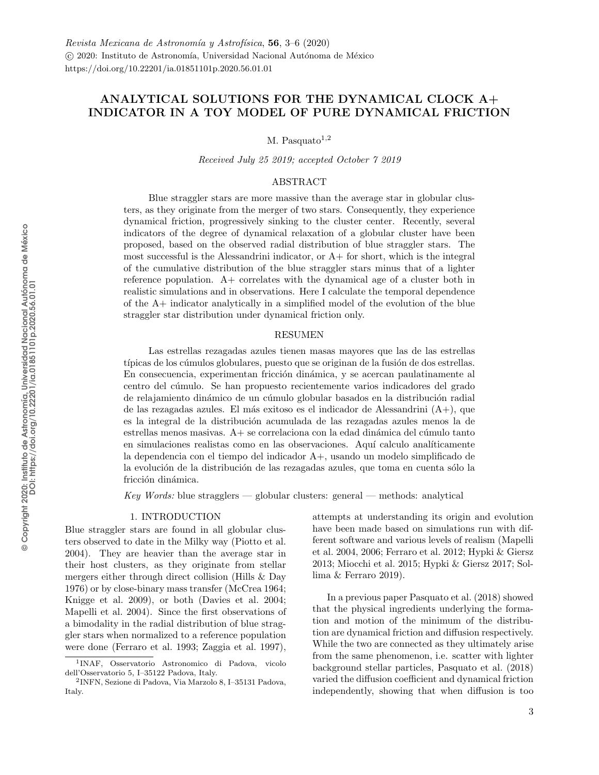# <span id="page-0-1"></span>ANALYTICAL SOLUTIONS FOR THE DYNAMICAL CLOCK A+ INDICATOR IN A TOY MODEL OF PURE DYNAMICAL FRICTION

M. Pasquato $1,2$ 

Received July 25 2019; accepted October 7 2019

## ABSTRACT

Blue straggler stars are more massive than the average star in globular clusters, as they originate from the merger of two stars. Consequently, they experience dynamical friction, progressively sinking to the cluster center. Recently, several indicators of the degree of dynamical relaxation of a globular cluster have been proposed, based on the observed radial distribution of blue straggler stars. The most successful is the Alessandrini indicator, or  $A+$  for short, which is the integral of the cumulative distribution of the blue straggler stars minus that of a lighter reference population. A+ correlates with the dynamical age of a cluster both in realistic simulations and in observations. Here I calculate the temporal dependence of the A+ indicator analytically in a simplified model of the evolution of the blue straggler star distribution under dynamical friction only.

### RESUMEN

Las estrellas rezagadas azules tienen masas mayores que las de las estrellas típicas de los cúmulos globulares, puesto que se originan de la fusión de dos estrellas. En consecuencia, experimentan fricción dinámica, y se acercan paulatinamente al centro del c´umulo. Se han propuesto recientemente varios indicadores del grado de relajamiento dinámico de un cúmulo globular basados en la distribución radial de las rezagadas azules. El más exitoso es el indicador de Alessandrini  $(A+)$ , que es la integral de la distribución acumulada de las rezagadas azules menos la de  $\epsilon$ estrellas menos masivas.  $A<sub>+</sub>$ se correlaciona con la edad dinámica del cúmulo tanto en simulaciones realistas como en las observaciones. Aquí calculo analíticamente la dependencia con el tiempo del indicador A+, usando un modelo simplificado de la evolución de la distribución de las rezagadas azules, que toma en cuenta sólo la fricción dinámica.

 $Key Words: blue strangers$   $\rightarrow$  globular clusters: general  $\rightarrow$  methods: analytical

### 1. INTRODUCTION

<span id="page-0-0"></span>Blue straggler stars are found in all globular clusters observed to date in the Milky way (Piotto et al. 2004). They are heavier than the average star in their host clusters, as they originate from stellar mergers either through direct collision (Hills & Day 1976) or by close-binary mass transfer (McCrea 1964; Knigge et al. 2009), or both (Davies et al. 2004; Mapelli et al. 2004). Since the first observations of a bimodality in the radial distribution of blue straggler stars when normalized to a reference population were done (Ferraro et al. 1993; Zaggia et al. 1997),

attempts at understanding its origin and evolution have been made based on simulations run with different software and various levels of realism (Mapelli et al. 2004, 2006; Ferraro et al. 2012; Hypki & Giersz 2013; Miocchi et al. 2015; Hypki & Giersz 2017; Sollima & Ferraro 2019).

In a previous paper Pasquato et al. (2018) showed that the physical ingredients underlying the formation and motion of the minimum of the distribution are dynamical friction and diffusion respectively. While the two are connected as they ultimately arise from the same phenomenon, i.e. scatter with lighter background stellar particles, Pasquato et al. (2018) varied the diffusion coefficient and dynamical friction independently, showing that when diffusion is too

<sup>1</sup> INAF, Osservatorio Astronomico di Padova, vicolo dell'Osservatorio 5, I–35122 Padova, Italy.

<sup>2</sup> INFN, Sezione di Padova, Via Marzolo 8, I–35131 Padova, Italy.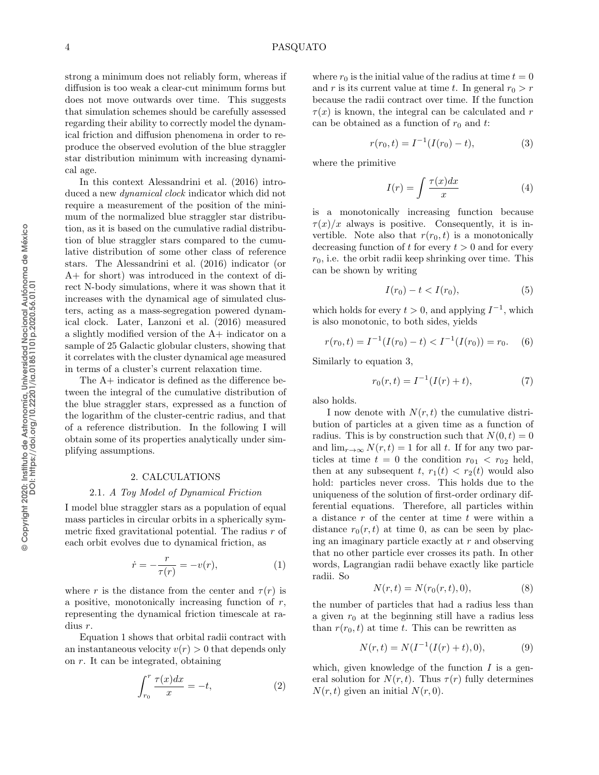strong a minimum does not reliably form, whereas if diffusion is too weak a clear-cut minimum forms but does not move outwards over time. This suggests that simulation schemes should be carefully assessed regarding their ability to correctly model the dynamical friction and diffusion phenomena in order to reproduce the observed evolution of the blue straggler star distribution minimum with increasing dynamical age.

In this context [Alessandrini et al.](#page-0-1) [\(2016\)](#page-0-1) introduced a new dynamical clock indicator which did not require a measurement of the position of the minimum of the normalized blue straggler star distribution, as it is based on the cumulative radial distribution of blue straggler stars compared to the cumulative distribution of some other class of reference stars. The [Alessandrini et al.](#page-0-1) [\(2016\)](#page-0-1) indicator (or A+ for short) was introduced in the context of direct N-body simulations, where it was shown that it increases with the dynamical age of simulated clusters, acting as a mass-segregation powered dynamical clock. Later, [Lanzoni et al.](#page-0-1) [\(2016\)](#page-0-1) measured a slightly modified version of the A+ indicator on a sample of 25 Galactic globular clusters, showing that it correlates with the cluster dynamical age measured in terms of a cluster's current relaxation time.

The A+ indicator is defined as the difference between the integral of the cumulative distribution of the blue straggler stars, expressed as a function of the logarithm of the cluster-centric radius, and that of a reference distribution. In the following I will obtain some of its properties analytically under simplifying assumptions.

### 2. CALCULATIONS

### 2.1. A Toy Model of Dynamical Friction

I model blue straggler stars as a population of equal mass particles in circular orbits in a spherically symmetric fixed gravitational potential. The radius  $r$  of each orbit evolves due to dynamical friction, as

<span id="page-1-0"></span>
$$
\dot{r} = -\frac{r}{\tau(r)} = -v(r),\tag{1}
$$

where r is the distance from the center and  $\tau(r)$  is a positive, monotonically increasing function of  $r$ , representing the dynamical friction timescale at radius r.

Equation [1](#page-1-0) shows that orbital radii contract with an instantaneous velocity  $v(r) > 0$  that depends only on r. It can be integrated, obtaining

$$
\int_{r_0}^r \frac{\tau(x)dx}{x} = -t,\tag{2}
$$

where  $r_0$  is the initial value of the radius at time  $t = 0$ and r is its current value at time t. In general  $r_0 > r$ because the radii contract over time. If the function  $\tau(x)$  is known, the integral can be calculated and r can be obtained as a function of  $r_0$  and t:

<span id="page-1-1"></span>
$$
r(r_0, t) = I^{-1}(I(r_0) - t),
$$
\n(3)

where the primitive

<span id="page-1-4"></span>
$$
I(r) = \int \frac{\tau(x)dx}{x} \tag{4}
$$

is a monotonically increasing function because  $\tau(x)/x$  always is positive. Consequently, it is invertible. Note also that  $r(r_0, t)$  is a monotonically decreasing function of t for every  $t > 0$  and for every  $r_0$ , i.e. the orbit radii keep shrinking over time. This can be shown by writing

$$
I(r_0) - t < I(r_0),\tag{5}
$$

which holds for every  $t > 0$ , and applying  $I^{-1}$ , which is also monotonic, to both sides, yields

$$
r(r_0, t) = I^{-1}(I(r_0) - t) < I^{-1}(I(r_0)) = r_0. \tag{6}
$$

Similarly to equation [3,](#page-1-1)

<span id="page-1-3"></span>
$$
r_0(r,t) = I^{-1}(I(r) + t),
$$
\n(7)

also holds.

I now denote with  $N(r, t)$  the cumulative distribution of particles at a given time as a function of radius. This is by construction such that  $N(0, t) = 0$ and  $\lim_{r\to\infty} N(r,t) = 1$  for all t. If for any two particles at time  $t = 0$  the condition  $r_{01} < r_{02}$  held, then at any subsequent t,  $r_1(t) < r_2(t)$  would also hold: particles never cross. This holds due to the uniqueness of the solution of first-order ordinary differential equations. Therefore, all particles within a distance  $r$  of the center at time  $t$  were within a distance  $r_0(r, t)$  at time 0, as can be seen by placing an imaginary particle exactly at r and observing that no other particle ever crosses its path. In other words, Lagrangian radii behave exactly like particle radii. So

$$
N(r,t) = N(r_0(r,t),0),
$$
 (8)

the number of particles that had a radius less than a given  $r_0$  at the beginning still have a radius less than  $r(r_0, t)$  at time t. This can be rewritten as

<span id="page-1-2"></span>
$$
N(r,t) = N(I^{-1}(I(r) + t), 0),
$$
\n(9)

which, given knowledge of the function  $I$  is a general solution for  $N(r, t)$ . Thus  $\tau(r)$  fully determines  $N(r, t)$  given an initial  $N(r, 0)$ .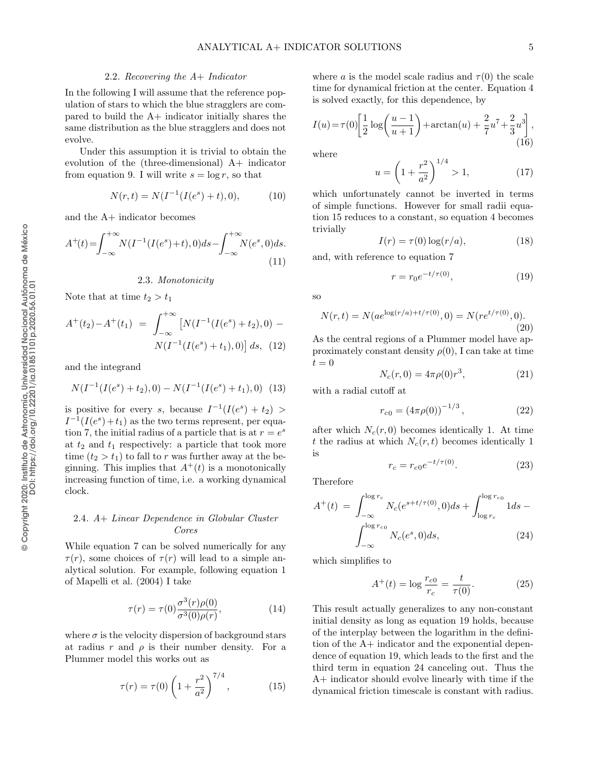### 2.2. Recovering the A+ Indicator

In the following I will assume that the reference population of stars to which the blue stragglers are compared to build the A+ indicator initially shares the same distribution as the blue stragglers and does not evolve.

Under this assumption it is trivial to obtain the evolution of the (three-dimensional) A+ indicator from equation [9.](#page-1-2) I will write  $s = \log r$ , so that

$$
N(r,t) = N(I^{-1}(I(e^s) + t), 0), \tag{10}
$$

and the A+ indicator becomes

$$
A^{+}(t) = \int_{-\infty}^{+\infty} N(I^{-1}(I(e^s) + t), 0)ds - \int_{-\infty}^{+\infty} N(e^s, 0)ds.
$$
\n(11)

### 2.3. Monotonicity

Note that at time  $t_2 > t_1$ 

$$
A^{+}(t_2) - A^{+}(t_1) = \int_{-\infty}^{+\infty} \left[ N(I^{-1}(I(e^s) + t_2), 0) - N(I^{-1}(I(e^s) + t_1), 0) \right] ds, (12)
$$

and the integrand

$$
N(I^{-1}(I(e^s) + t_2), 0) - N(I^{-1}(I(e^s) + t_1), 0) \tag{13}
$$

is positive for every s, because  $I^{-1}(I(e^s) + t_2)$  $I^{-1}(I(e^s) + t_1)$  as the two terms represent, per equa-tion [7,](#page-1-3) the initial radius of a particle that is at  $r = e^s$ at  $t_2$  and  $t_1$  respectively: a particle that took more time  $(t_2 > t_1)$  to fall to r was further away at the beginning. This implies that  $A^+(t)$  is a monotonically increasing function of time, i.e. a working dynamical clock.

# 2.4. A+ Linear Dependence in Globular Cluster Cores

While equation [7](#page-1-3) can be solved numerically for any  $\tau(r)$ , some choices of  $\tau(r)$  will lead to a simple analytical solution. For example, following equation 1 of [Mapelli et al.](#page-0-1) [\(2004\)](#page-0-1) I take

$$
\tau(r) = \tau(0) \frac{\sigma^3(r)\rho(0)}{\sigma^3(0)\rho(r)},\tag{14}
$$

where  $\sigma$  is the velocity dispersion of background stars at radius r and  $\rho$  is their number density. For a Plummer model this works out as

<span id="page-2-0"></span>
$$
\tau(r) = \tau(0) \left( 1 + \frac{r^2}{a^2} \right)^{7/4}, \tag{15}
$$

where a is the model scale radius and  $\tau(0)$  the scale time for dynamical friction at the center. Equation [4](#page-1-4) is solved exactly, for this dependence, by

$$
I(u) = \tau(0) \left[ \frac{1}{2} \log \left( \frac{u-1}{u+1} \right) + \arctan(u) + \frac{2}{7} u^7 + \frac{2}{3} u^3 \right],
$$
\n(16)

where

$$
u = \left(1 + \frac{r^2}{a^2}\right)^{1/4} > 1,\tag{17}
$$

which unfortunately cannot be inverted in terms of simple functions. However for small radii equation [15](#page-2-0) reduces to a constant, so equation [4](#page-1-4) becomes trivially

$$
I(r) = \tau(0) \log(r/a), \tag{18}
$$

and, with reference to equation [7](#page-1-3)

<span id="page-2-1"></span>
$$
r = r_0 e^{-t/\tau(0)},
$$
\n(19)

so

$$
N(r,t) = N(ae^{\log(r/a) + t/\tau(0)}, 0) = N(re^{t/\tau(0)}, 0).
$$
\n(20)

As the central regions of a Plummer model have approximately constant density  $\rho(0)$ , I can take at time  $t = 0$ 

$$
N_c(r,0) = 4\pi\rho(0)r^3,
$$
\n(21)

with a radial cutoff at

$$
r_{c0} = (4\pi\rho(0))^{-1/3},\qquad (22)
$$

after which  $N_c(r, 0)$  becomes identically 1. At time t the radius at which  $N_c(r, t)$  becomes identically 1 is

$$
r_c = r_{c0}e^{-t/\tau(0)}.\t(23)
$$

Therefore

<span id="page-2-2"></span>
$$
A^{+}(t) = \int_{-\infty}^{\log r_c} N_c(e^{s+t/\tau(0)}, 0)ds + \int_{\log r_c}^{\log r_{c0}} 1ds - \int_{-\infty}^{\log r_{c0}} N_c(e^s, 0)ds, \tag{24}
$$

which simplifies to

$$
A^{+}(t) = \log \frac{r_{c0}}{r_c} = \frac{t}{\tau(0)}.
$$
 (25)

This result actually generalizes to any non-constant initial density as long as equation [19](#page-2-1) holds, because of the interplay between the logarithm in the definition of the A+ indicator and the exponential dependence of equation [19,](#page-2-1) which leads to the first and the third term in equation [24](#page-2-2) canceling out. Thus the A+ indicator should evolve linearly with time if the dynamical friction timescale is constant with radius.